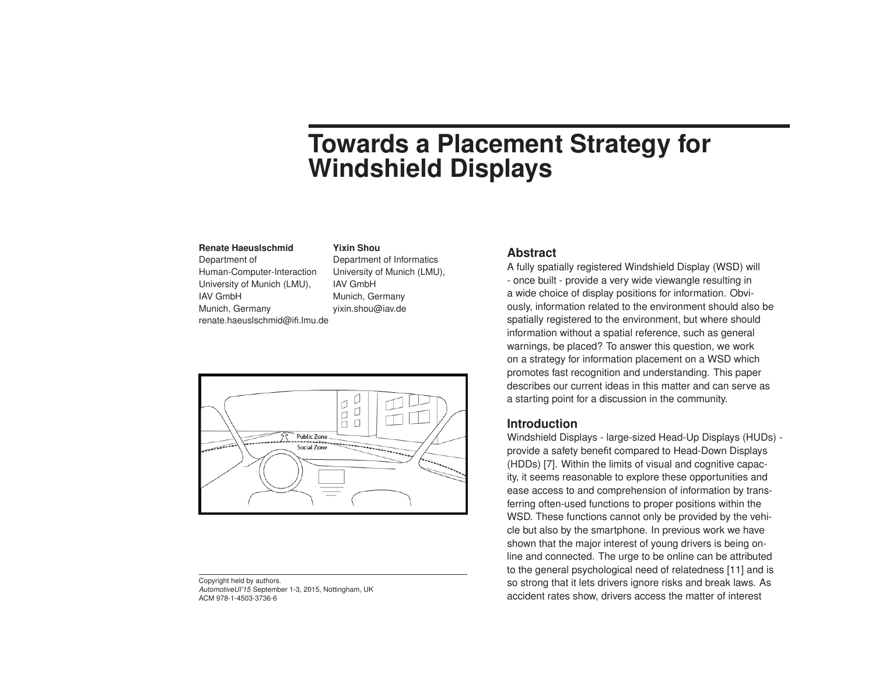# **Towards a Placement Strategy for Windshield Displays**

#### **Renate Haeuslschmid**

Department of Human-Computer-Interaction University of Munich (LMU), IAV GmbH Munich, Germany renate.haeuslschmid@ifi.lmu.de

# Department of Informatics

**Yixin Shou**

University of Munich (LMU), IAV GmbH Munich, Germany yixin.shou@iav.de



Copyright held by authors. *AutomotiveUI'15* September 1-3, 2015, Nottingham, UK ACM 978-1-4503-3736-6

### **Abstract**

A fully spatially registered Windshield Display (WSD) will - once built - provide a very wide viewangle resulting in a wide choice of display positions for information. Obviously, information related to the environment should also be spatially registered to the environment, but where should information without a spatial reference, such as general warnings, be placed? To answer this question, we work on a strategy for information placement on a WSD which promotes fast recognition and understanding. This paper describes our current ideas in this matter and can serve as a starting point for a discussion in the community.

## **Introduction**

Windshield Displays - large-sized Head-Up Displays (HUDs) provide a safety benefit compared to Head-Down Displays (HDDs) [\[7\]](#page-3-0). Within the limits of visual and cognitive capacity, it seems reasonable to explore these opportunities and ease access to and comprehension of information by transferring often-used functions to proper positions within the WSD. These functions cannot only be provided by the vehicle but also by the smartphone. In previous work we have shown that the major interest of young drivers is being online and connected. The urge to be online can be attributed to the general psychological need of relatedness [\[11\]](#page-4-0) and is so strong that it lets drivers ignore risks and break laws. As accident rates show, drivers access the matter of interest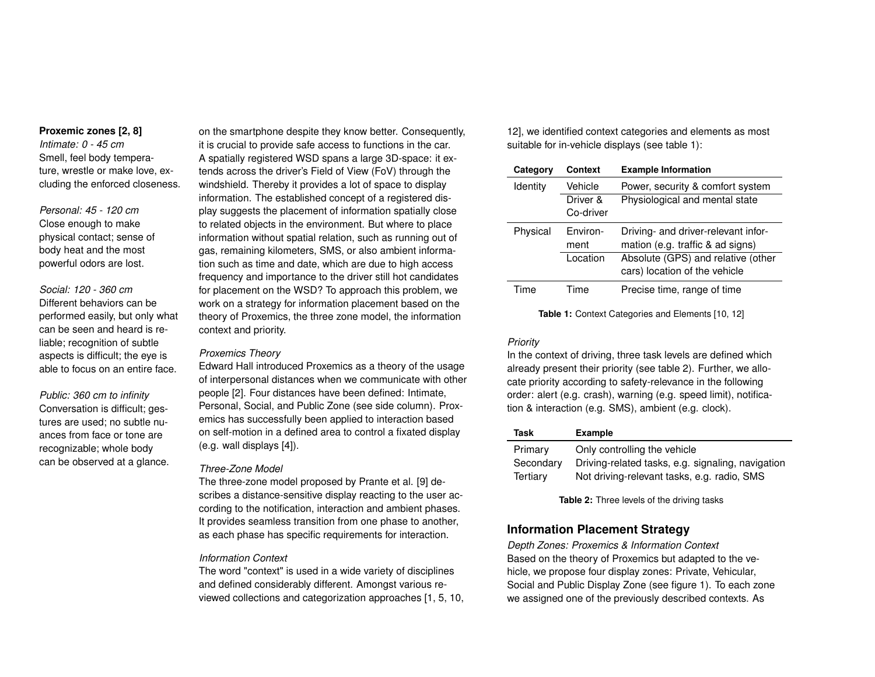#### **Proxemic zones [\[2,](#page-3-1) [8\]](#page-3-2)**

*Intimate: 0 - 45 cm* Smell, feel body temperature, wrestle or make love, excluding the enforced closeness.

*Personal: 45 - 120 cm* Close enough to make physical contact; sense of body heat and the most powerful odors are lost.

*Social: 120 - 360 cm* Different behaviors can be performed easily, but only what can be seen and heard is reliable; recognition of subtle aspects is difficult; the eye is able to focus on an entire face.

*Public: 360 cm to infinity* Conversation is difficult; gestures are used; no subtle nuances from face or tone are recognizable; whole body can be observed at a glance. on the smartphone despite they know better. Consequently, it is crucial to provide safe access to functions in the car. A spatially registered WSD spans a large 3D-space: it extends across the driver's Field of View (FoV) through the windshield. Thereby it provides a lot of space to display information. The established concept of a registered display suggests the placement of information spatially close to related objects in the environment. But where to place information without spatial relation, such as running out of gas, remaining kilometers, SMS, or also ambient information such as time and date, which are due to high access frequency and importance to the driver still hot candidates for placement on the WSD? To approach this problem, we work on a strategy for information placement based on the theory of Proxemics, the three zone model, the information context and priority.

#### *Proxemics Theory*

Edward Hall introduced Proxemics as a theory of the usage of interpersonal distances when we communicate with other people [\[2\]](#page-3-1). Four distances have been defined: Intimate, Personal, Social, and Public Zone (see side column). Proxemics has successfully been applied to interaction based on self-motion in a defined area to control a fixated display (e.g. wall displays [\[4\]](#page-3-3)).

#### *Three-Zone Model*

The three-zone model proposed by Prante et al. [\[9\]](#page-3-4) describes a distance-sensitive display reacting to the user according to the notification, interaction and ambient phases. It provides seamless transition from one phase to another, as each phase has specific requirements for interaction.

#### *Information Context*

The word "context" is used in a wide variety of disciplines and defined considerably different. Amongst various reviewed collections and categorization approaches [\[1,](#page-3-5) [5,](#page-3-6) [10,](#page-3-7)

[12\]](#page-4-1), we identified context categories and elements as most suitable for in-vehicle displays (see table [1\)](#page-1-0):

<span id="page-1-0"></span>

| Category        | Context   | <b>Example Information</b>          |
|-----------------|-----------|-------------------------------------|
| <b>Identity</b> | Vehicle   | Power, security & comfort system    |
|                 | Driver &  | Physiological and mental state      |
|                 | Co-driver |                                     |
| Physical        | Fnviron-  | Driving- and driver-relevant infor- |
|                 | ment      | mation (e.g. traffic & ad signs)    |
|                 | Location  | Absolute (GPS) and relative (other  |
|                 |           | cars) location of the vehicle       |
| Time            | Time      | Precise time, range of time         |

**Table 1:** Context Categories and Elements [\[10,](#page-3-7) [12\]](#page-4-1)

#### *Priority*

In the context of driving, three task levels are defined which already present their priority (see table [2\)](#page-1-1). Further, we allocate priority according to safety-relevance in the following order: alert (e.g. crash), warning (e.g. speed limit), notification & interaction (e.g. SMS), ambient (e.g. clock).

<span id="page-1-1"></span>

| Task      | <b>Example</b>                                    |
|-----------|---------------------------------------------------|
| Primary   | Only controlling the vehicle                      |
| Secondary | Driving-related tasks, e.g. signaling, navigation |
| Tertiary  | Not driving-relevant tasks, e.g. radio, SMS       |

**Table 2:** Three levels of the driving tasks

## **Information Placement Strategy**

*Depth Zones: Proxemics & Information Context* Based on the theory of Proxemics but adapted to the vehicle, we propose four display zones: Private, Vehicular, Social and Public Display Zone (see figure 1). To each zone we assigned one of the previously described contexts. As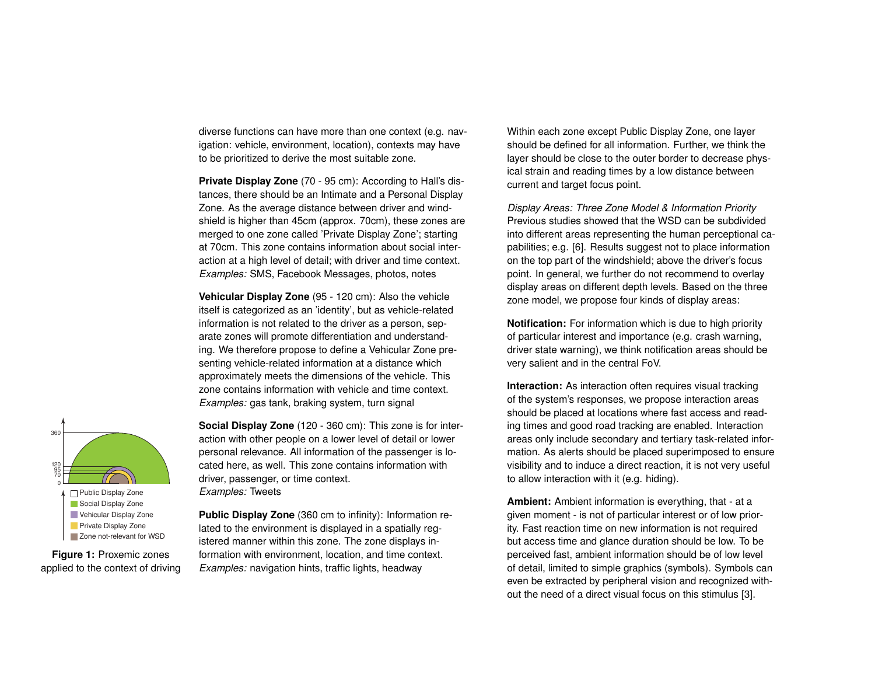diverse functions can have more than one context (e.g. navigation: vehicle, environment, location), contexts may have to be prioritized to derive the most suitable zone.

**Private Display Zone** (70 - 95 cm): According to Hall's distances, there should be an Intimate and a Personal Display Zone. As the average distance between driver and windshield is higher than 45cm (approx. 70cm), these zones are merged to one zone called 'Private Display Zone'; starting at 70cm. This zone contains information about social interaction at a high level of detail; with driver and time context. *Examples:* SMS, Facebook Messages, photos, notes

**Vehicular Display Zone** (95 - 120 cm): Also the vehicle itself is categorized as an 'identity', but as vehicle-related information is not related to the driver as a person, separate zones will promote differentiation and understanding. We therefore propose to define a Vehicular Zone presenting vehicle-related information at a distance which approximately meets the dimensions of the vehicle. This zone contains information with vehicle and time context. *Examples:* gas tank, braking system, turn signal

**Social Display Zone** (120 - 360 cm): This zone is for interaction with other people on a lower level of detail or lower personal relevance. All information of the passenger is located here, as well. This zone contains information with driver, passenger, or time context. *Examples:* Tweets

**Public Display Zone** (360 cm to infinity): Information related to the environment is displayed in a spatially registered manner within this zone. The zone displays information with environment, location, and time context. *Examples:* navigation hints, traffic lights, headway

Within each zone except Public Display Zone, one layer should be defined for all information. Further, we think the layer should be close to the outer border to decrease physical strain and reading times by a low distance between current and target focus point.

*Display Areas: Three Zone Model & Information Priority* Previous studies showed that the WSD can be subdivided into different areas representing the human perceptional capabilities; e.g. [\[6\]](#page-3-8). Results suggest not to place information on the top part of the windshield; above the driver's focus point. In general, we further do not recommend to overlay display areas on different depth levels. Based on the three zone model, we propose four kinds of display areas:

**Notification:** For information which is due to high priority of particular interest and importance (e.g. crash warning, driver state warning), we think notification areas should be very salient and in the central FoV.

**Interaction:** As interaction often requires visual tracking of the system's responses, we propose interaction areas should be placed at locations where fast access and reading times and good road tracking are enabled. Interaction areas only include secondary and tertiary task-related information. As alerts should be placed superimposed to ensure visibility and to induce a direct reaction, it is not very useful to allow interaction with it (e.g. hiding).

**Ambient:** Ambient information is everything, that - at a given moment - is not of particular interest or of low priority. Fast reaction time on new information is not required but access time and glance duration should be low. To be perceived fast, ambient information should be of low level of detail, limited to simple graphics (symbols). Symbols can even be extracted by peripheral vision and recognized without the need of a direct visual focus on this stimulus [\[3\]](#page-3-9).



**Figure 1:** Proxemic zones applied to the context of driving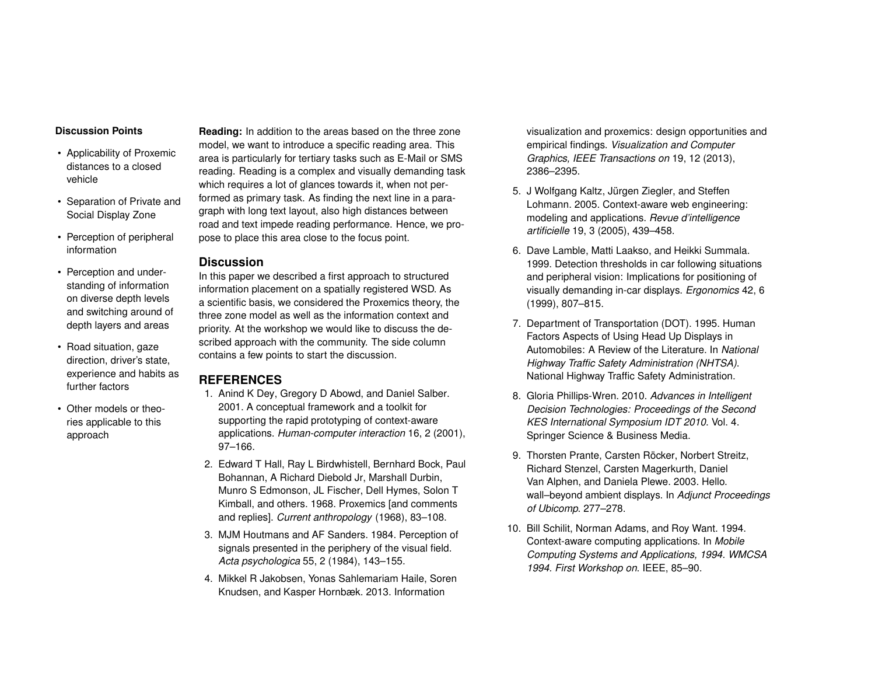#### **Discussion Points**

- Applicability of Proxemic distances to a closed vehicle
- Separation of Private and Social Display Zone
- Perception of peripheral information
- Perception and understanding of information on diverse depth levels and switching around of depth layers and areas
- Road situation, gaze direction, driver's state, experience and habits as further factors
- Other models or theories applicable to this approach

**Reading:** In addition to the areas based on the three zone model, we want to introduce a specific reading area. This area is particularly for tertiary tasks such as E-Mail or SMS reading. Reading is a complex and visually demanding task which requires a lot of glances towards it, when not performed as primary task. As finding the next line in a paragraph with long text layout, also high distances between road and text impede reading performance. Hence, we propose to place this area close to the focus point.

### **Discussion**

In this paper we described a first approach to structured information placement on a spatially registered WSD. As a scientific basis, we considered the Proxemics theory, the three zone model as well as the information context and priority. At the workshop we would like to discuss the described approach with the community. The side column contains a few points to start the discussion.

## **REFERENCES**

- <span id="page-3-5"></span>1. Anind K Dey, Gregory D Abowd, and Daniel Salber. 2001. A conceptual framework and a toolkit for supporting the rapid prototyping of context-aware applications. *Human-computer interaction* 16, 2 (2001), 97–166.
- <span id="page-3-1"></span>2. Edward T Hall, Ray L Birdwhistell, Bernhard Bock, Paul Bohannan, A Richard Diebold Jr, Marshall Durbin, Munro S Edmonson, JL Fischer, Dell Hymes, Solon T Kimball, and others. 1968. Proxemics [and comments and replies]. *Current anthropology* (1968), 83–108.
- <span id="page-3-9"></span>3. MJM Houtmans and AF Sanders. 1984. Perception of signals presented in the periphery of the visual field. *Acta psychologica* 55, 2 (1984), 143–155.
- <span id="page-3-3"></span>4. Mikkel R Jakobsen, Yonas Sahlemariam Haile, Soren Knudsen, and Kasper Hornbæk. 2013. Information

visualization and proxemics: design opportunities and empirical findings. *Visualization and Computer Graphics, IEEE Transactions on* 19, 12 (2013), 2386–2395.

- <span id="page-3-6"></span>5. J Wolfgang Kaltz, Jürgen Ziegler, and Steffen Lohmann. 2005. Context-aware web engineering: modeling and applications. *Revue d'intelligence artificielle* 19, 3 (2005), 439–458.
- <span id="page-3-8"></span>6. Dave Lamble, Matti Laakso, and Heikki Summala. 1999. Detection thresholds in car following situations and peripheral vision: Implications for positioning of visually demanding in-car displays. *Ergonomics* 42, 6 (1999), 807–815.
- <span id="page-3-0"></span>7. Department of Transportation (DOT). 1995. Human Factors Aspects of Using Head Up Displays in Automobiles: A Review of the Literature. In *National Highway Traffic Safety Administration (NHTSA)*. National Highway Traffic Safety Administration.
- <span id="page-3-2"></span>8. Gloria Phillips-Wren. 2010. *Advances in Intelligent Decision Technologies: Proceedings of the Second KES International Symposium IDT 2010*. Vol. 4. Springer Science & Business Media.
- <span id="page-3-4"></span>9. Thorsten Prante, Carsten Röcker, Norbert Streitz, Richard Stenzel, Carsten Magerkurth, Daniel Van Alphen, and Daniela Plewe. 2003. Hello. wall–beyond ambient displays. In *Adjunct Proceedings of Ubicomp*. 277–278.
- <span id="page-3-7"></span>10. Bill Schilit, Norman Adams, and Roy Want. 1994. Context-aware computing applications. In *Mobile Computing Systems and Applications, 1994. WMCSA 1994. First Workshop on*. IEEE, 85–90.